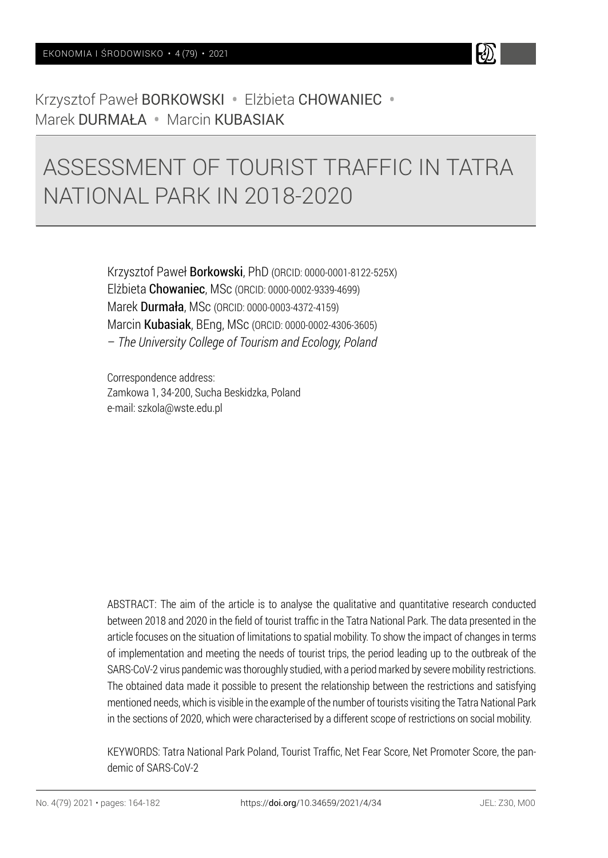

# ASSESSMENT OF TOURIST TRAFFIC IN TATRA NATIONAL PARK IN 2018-2020

Krzysztof Paweł Borkowski, PhD (ORCID: 0000-0001-8122-525X) Elżbieta Chowaniec, MSc (ORCID: 0000-0002-9339-4699) Marek Durmała, MSc (ORCID: 0000-0003-4372-4159) Marcin Kubasiak, BEng, MSc (ORCID: 0000-0002-4306-3605) – *The University College of Tourism and Ecology, Poland*

Correspondence address: Zamkowa 1, 34-200, Sucha Beskidzka, Poland e-mail: szkola@wste.edu.pl

ABSTRACT: The aim of the article is to analyse the qualitative and quantitative research conducted between 2018 and 2020 in the field of tourist traffic in the Tatra National Park. The data presented in the article focuses on the situation of limitations to spatial mobility. To show the impact of changes in terms of implementation and meeting the needs of tourist trips, the period leading up to the outbreak of the SARS-CoV-2 virus pandemic was thoroughly studied, with a period marked by severe mobility restrictions. The obtained data made it possible to present the relationship between the restrictions and satisfying mentioned needs, which is visible in the example of the number of tourists visiting the Tatra National Park in the sections of 2020, which were characterised by a different scope of restrictions on social mobility.

KEYWORDS: Tatra National Park Poland, Tourist Traffic, Net Fear Score, Net Promoter Score, the pandemic of SARS-CoV-2

k)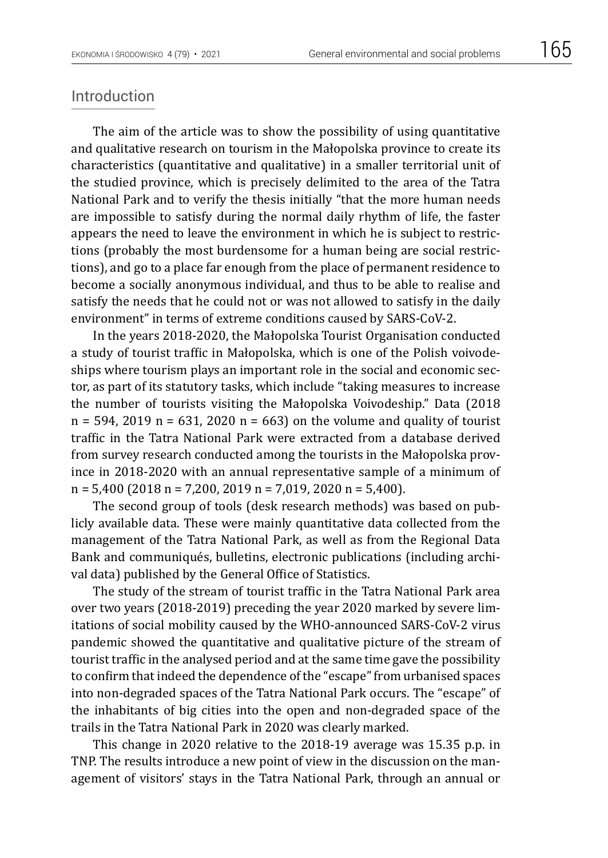#### Introduction

The aim of the article was to show the possibility of using quantitative and qualitative research on tourism in the Małopolska province to create its characteristics (quantitative and qualitative) in a smaller territorial unit of the studied province, which is precisely delimited to the area of the Tatra National Park and to verify the thesis initially "that the more human needs are impossible to satisfy during the normal daily rhythm of life, the faster appears the need to leave the environment in which he is subject to restrictions (probably the most burdensome for a human being are social restrictions), and go to a place far enough from the place of permanent residence to become a socially anonymous individual, and thus to be able to realise and satisfy the needs that he could not or was not allowed to satisfy in the daily environment" in terms of extreme conditions caused by SARS-CoV-2.

In the years 2018-2020, the Małopolska Tourist Organisation conducted a study of tourist traffic in Małopolska, which is one of the Polish voivodeships where tourism plays an important role in the social and economic sector, as part of its statutory tasks, which include "taking measures to increase the number of tourists visiting the Małopolska Voivodeship." Data (2018  $n = 594$ , 2019 n = 631, 2020 n = 663) on the volume and quality of tourist traffic in the Tatra National Park were extracted from a database derived from survey research conducted among the tourists in the Małopolska province in 2018-2020 with an annual representative sample of a minimum of n = 5,400 (2018 n = 7,200, 2019 n = 7,019, 2020 n = 5,400).

The second group of tools (desk research methods) was based on publicly available data. These were mainly quantitative data collected from the management of the Tatra National Park, as well as from the Regional Data Bank and communiqués, bulletins, electronic publications (including archival data) published by the General Office of Statistics.

The study of the stream of tourist traffic in the Tatra National Park area over two years (2018-2019) preceding the year 2020 marked by severe limitations of social mobility caused by the WHO-announced SARS-CoV-2 virus pandemic showed the quantitative and qualitative picture of the stream of tourist traffic in the analysed period and at the same time gave the possibility to confirm that indeed the dependence of the "escape" from urbanised spaces into non-degraded spaces of the Tatra National Park occurs. The "escape" of the inhabitants of big cities into the open and non-degraded space of the trails in the Tatra National Park in 2020 was clearly marked.

This change in 2020 relative to the 2018-19 average was 15.35 p.p. in TNP. The results introduce a new point of view in the discussion on the management of visitors' stays in the Tatra National Park, through an annual or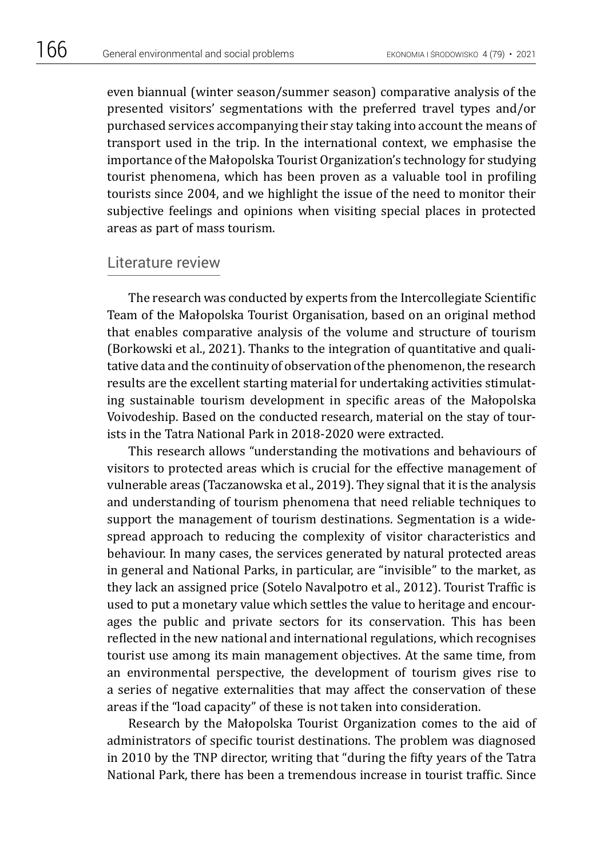even biannual (winter season/summer season) comparative analysis of the presented visitors' segmentations with the preferred travel types and/or purchased services accompanying their stay taking into account the means of transport used in the trip. In the international context, we emphasise the importance of the Małopolska Tourist Organization's technology for studying tourist phenomena, which has been proven as a valuable tool in profiling tourists since 2004, and we highlight the issue of the need to monitor their subjective feelings and opinions when visiting special places in protected areas as part of mass tourism.

#### Literature review

The research was conducted by experts from the Intercollegiate Scientific Team of the Małopolska Tourist Organisation, based on an original method that enables comparative analysis of the volume and structure of tourism (Borkowski et al., 2021). Thanks to the integration of quantitative and qualitative data and the continuity of observation of the phenomenon, the research results are the excellent starting material for undertaking activities stimulating sustainable tourism development in specific areas of the Małopolska Voivodeship. Based on the conducted research, material on the stay of tourists in the Tatra National Park in 2018-2020 were extracted.

This research allows "understanding the motivations and behaviours of visitors to protected areas which is crucial for the effective management of vulnerable areas (Taczanowska et al., 2019). They signal that it is the analysis and understanding of tourism phenomena that need reliable techniques to support the management of tourism destinations. Segmentation is a widespread approach to reducing the complexity of visitor characteristics and behaviour. In many cases, the services generated by natural protected areas in general and National Parks, in particular, are "invisible" to the market, as they lack an assigned price (Sotelo Navalpotro et al., 2012). Tourist Traffic is used to put a monetary value which settles the value to heritage and encourages the public and private sectors for its conservation. This has been reflected in the new national and international regulations, which recognises tourist use among its main management objectives. At the same time, from an environmental perspective, the development of tourism gives rise to a series of negative externalities that may affect the conservation of these areas if the "load capacity" of these is not taken into consideration.

Research by the Małopolska Tourist Organization comes to the aid of administrators of specific tourist destinations. The problem was diagnosed in 2010 by the TNP director, writing that "during the fifty years of the Tatra National Park, there has been a tremendous increase in tourist traffic. Since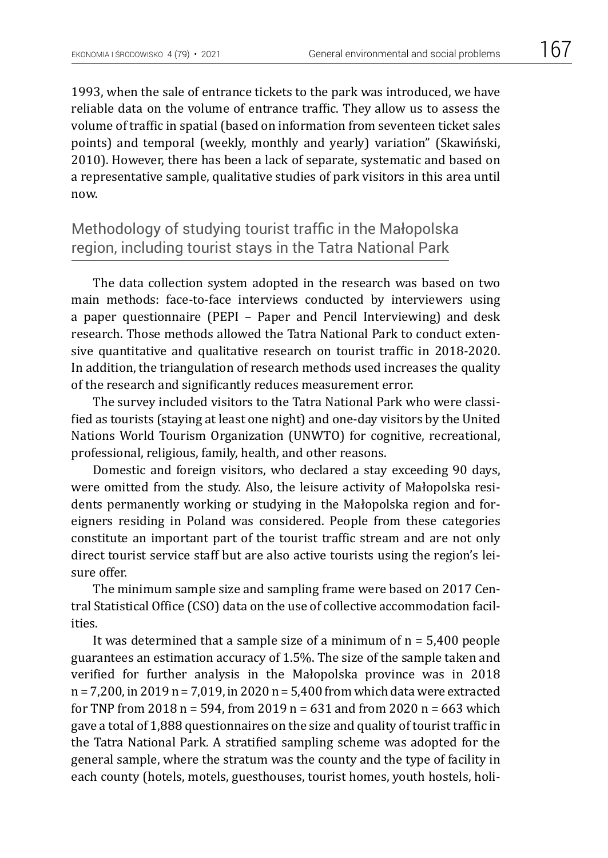1993, when the sale of entrance tickets to the park was introduced, we have reliable data on the volume of entrance traffic. They allow us to assess the volume of traffic in spatial (based on information from seventeen ticket sales points) and temporal (weekly, monthly and yearly) variation" (Skawiński, 2010). However, there has been a lack of separate, systematic and based on a representative sample, qualitative studies of park visitors in this area until

now.

Methodology of studying tourist traffic in the Małopolska region, including tourist stays in the Tatra National Park

The data collection system adopted in the research was based on two main methods: face-to-face interviews conducted by interviewers using a paper questionnaire (PEPI – Paper and Pencil Interviewing) and desk research. Those methods allowed the Tatra National Park to conduct extensive quantitative and qualitative research on tourist traffic in 2018-2020. In addition, the triangulation of research methods used increases the quality of the research and significantly reduces measurement error.

The survey included visitors to the Tatra National Park who were classified as tourists (staying at least one night) and one-day visitors by the United Nations World Tourism Organization (UNWTO) for cognitive, recreational, professional, religious, family, health, and other reasons.

Domestic and foreign visitors, who declared a stay exceeding 90 days, were omitted from the study. Also, the leisure activity of Małopolska residents permanently working or studying in the Małopolska region and foreigners residing in Poland was considered. People from these categories constitute an important part of the tourist traffic stream and are not only direct tourist service staff but are also active tourists using the region's leisure offer.

The minimum sample size and sampling frame were based on 2017 Central Statistical Office (CSO) data on the use of collective accommodation facilities.

It was determined that a sample size of a minimum of  $n = 5,400$  people guarantees an estimation accuracy of 1.5%. The size of the sample taken and verified for further analysis in the Małopolska province was in 2018 n = 7,200, in 2019 n = 7,019, in 2020 n = 5,400 from which data were extracted for TNP from 2018 n = 594, from 2019 n = 631 and from 2020 n = 663 which gave a total of 1,888 questionnaires on the size and quality of tourist traffic in the Tatra National Park. A stratified sampling scheme was adopted for the general sample, where the stratum was the county and the type of facility in each county (hotels, motels, guesthouses, tourist homes, youth hostels, holi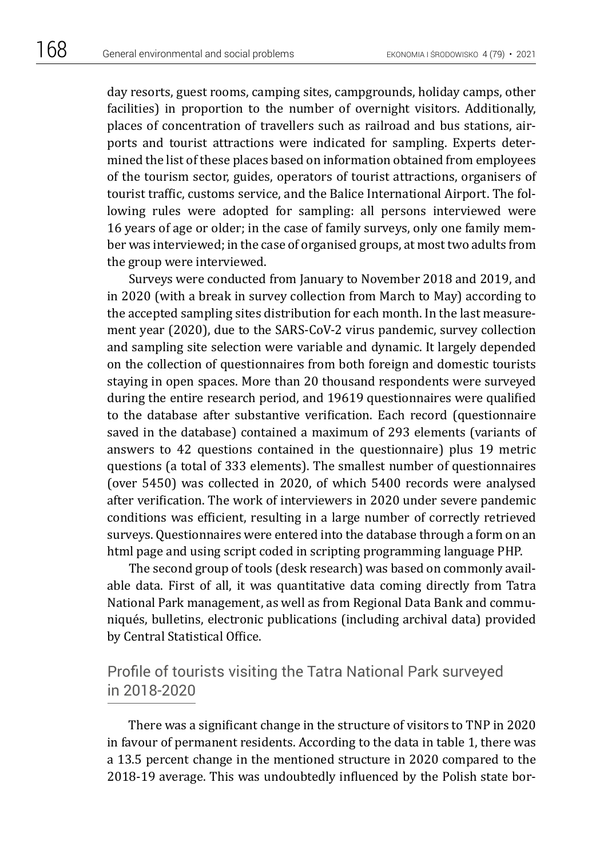day resorts, guest rooms, camping sites, campgrounds, holiday camps, other facilities) in proportion to the number of overnight visitors. Additionally, places of concentration of travellers such as railroad and bus stations, airports and tourist attractions were indicated for sampling. Experts determined the list of these places based on information obtained from employees of the tourism sector, guides, operators of tourist attractions, organisers of tourist traffic, customs service, and the Balice International Airport. The following rules were adopted for sampling: all persons interviewed were 16 years of age or older; in the case of family surveys, only one family member was interviewed; in the case of organised groups, at most two adults from the group were interviewed.

Surveys were conducted from January to November 2018 and 2019, and in 2020 (with a break in survey collection from March to May) according to the accepted sampling sites distribution for each month. In the last measurement year (2020), due to the SARS-CoV-2 virus pandemic, survey collection and sampling site selection were variable and dynamic. It largely depended on the collection of questionnaires from both foreign and domestic tourists staying in open spaces. More than 20 thousand respondents were surveyed during the entire research period, and 19619 questionnaires were qualified to the database after substantive verification. Each record (questionnaire saved in the database) contained a maximum of 293 elements (variants of answers to 42 questions contained in the questionnaire) plus 19 metric questions (a total of 333 elements). The smallest number of questionnaires (over 5450) was collected in 2020, of which 5400 records were analysed after verification. The work of interviewers in 2020 under severe pandemic conditions was efficient, resulting in a large number of correctly retrieved surveys. Questionnaires were entered into the database through a form on an html page and using script coded in scripting programming language PHP.

The second group of tools (desk research) was based on commonly available data. First of all, it was quantitative data coming directly from Tatra National Park management, as well as from Regional Data Bank and communiqués, bulletins, electronic publications (including archival data) provided by Central Statistical Office.

## Profile of tourists visiting the Tatra National Park surveyed in 2018-2020

There was a significant change in the structure of visitors to TNP in 2020 in favour of permanent residents. According to the data in table 1, there was a 13.5 percent change in the mentioned structure in 2020 compared to the 2018-19 average. This was undoubtedly influenced by the Polish state bor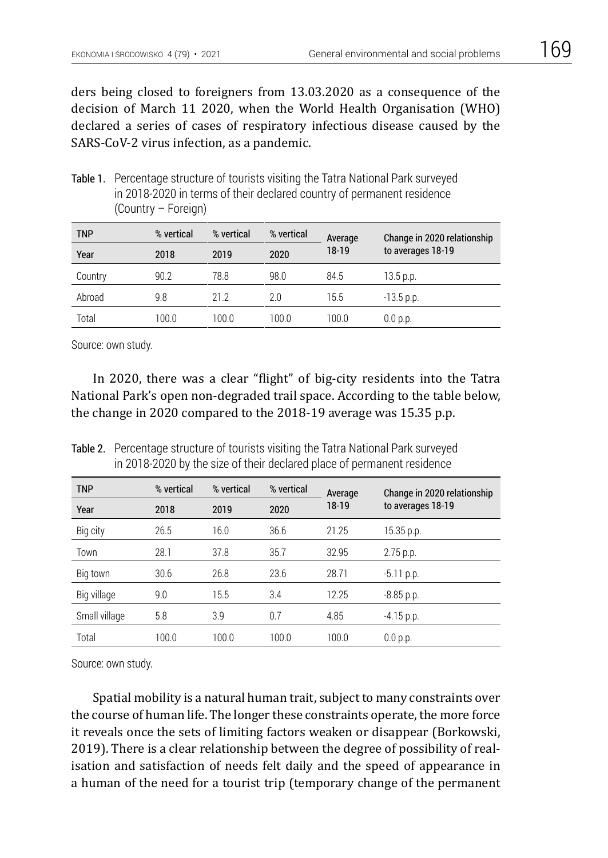ders being closed to foreigners from 13.03.2020 as a consequence of the decision of March 11 2020, when the World Health Organisation (WHO) declared a series of cases of respiratory infectious disease caused by the SARS-CoV-2 virus infection, as a pandemic.

Table 1. Percentage structure of tourists visiting the Tatra National Park surveyed in 2018-2020 in terms of their declared country of permanent residence (Country – Foreign)

| <b>TNP</b> | % vertical | % vertical | % vertical | Average | Change in 2020 relationship<br>to averages 18-19 |
|------------|------------|------------|------------|---------|--------------------------------------------------|
| Year       | 2018       | 2019       | 2020       | 18-19   |                                                  |
| Country    | 90.2       | 78.8       | 98.0       | 84.5    | 13.5 p.p.                                        |
| Abroad     | 9.8        | 21.2       | 2.0        | 15.5    | $-13.5$ p.p.                                     |
| Total      | 100.0      | 100.0      | 100.0      | 100.0   | 0.0 p.p.                                         |

Source: own study.

In 2020, there was a clear "flight" of big-city residents into the Tatra National Park's open non-degraded trail space. According to the table below, the change in 2020 compared to the 2018-19 average was 15.35 p.p.

Table 2. Percentage structure of tourists visiting the Tatra National Park surveyed in 2018-2020 by the size of their declared place of permanent residence

| <b>TNP</b>    | % vertical | % vertical | % vertical | Average | Change in 2020 relationship |
|---------------|------------|------------|------------|---------|-----------------------------|
| Year          | 2018       | 2019       | 2020       | 18-19   | to averages 18-19           |
| Big city      | 26.5       | 16.0       | 36.6       | 21.25   | $15.35$ p.p.                |
| Town          | 28.1       | 37.8       | 35.7       | 32.95   | 2.75 p.p.                   |
| Big town      | 30.6       | 26.8       | 23.6       | 28.71   | $-5.11$ p.p.                |
| Big village   | 9.0        | 15.5       | 3.4        | 12.25   | $-8.85$ p.p.                |
| Small village | 5.8        | 3.9        | 0.7        | 4.85    | $-4.15$ p.p.                |
| Total         | 100.0      | 100.0      | 100.0      | 100.0   | 0.0 p.p.                    |

Source: own study.

Spatial mobility is a natural human trait, subject to many constraints over the course of human life. The longer these constraints operate, the more force it reveals once the sets of limiting factors weaken or disappear (Borkowski, 2019). There is a clear relationship between the degree of possibility of realisation and satisfaction of needs felt daily and the speed of appearance in a human of the need for a tourist trip (temporary change of the permanent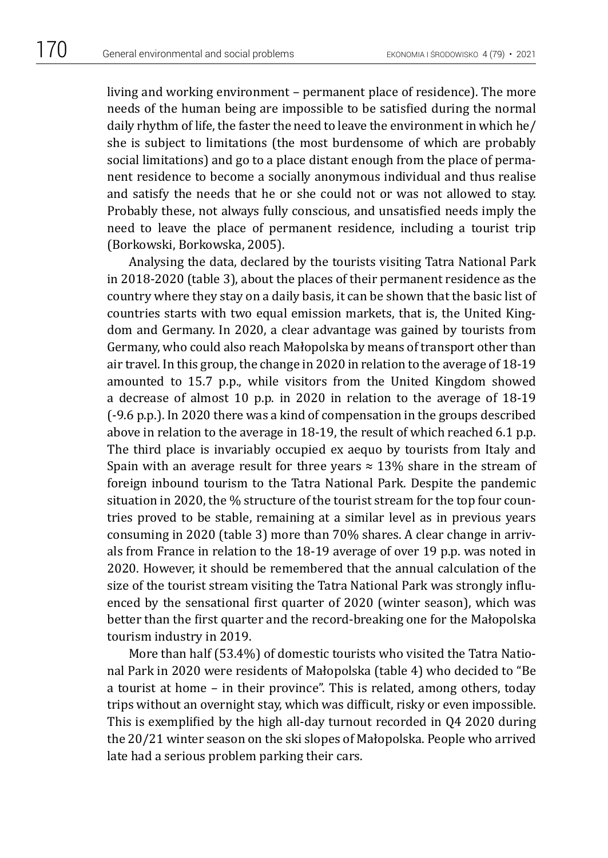living and working environment – permanent place of residence). The more needs of the human being are impossible to be satisfied during the normal daily rhythm of life, the faster the need to leave the environment in which he/ she is subject to limitations (the most burdensome of which are probably social limitations) and go to a place distant enough from the place of permanent residence to become a socially anonymous individual and thus realise and satisfy the needs that he or she could not or was not allowed to stay. Probably these, not always fully conscious, and unsatisfied needs imply the need to leave the place of permanent residence, including a tourist trip (Borkowski, Borkowska, 2005).

Analysing the data, declared by the tourists visiting Tatra National Park in 2018-2020 (table 3), about the places of their permanent residence as the country where they stay on a daily basis, it can be shown that the basic list of countries starts with two equal emission markets, that is, the United Kingdom and Germany. In 2020, a clear advantage was gained by tourists from Germany, who could also reach Małopolska by means of transport other than air travel. In this group, the change in 2020 in relation to the average of 18-19 amounted to 15.7 p.p., while visitors from the United Kingdom showed a decrease of almost 10 p.p. in 2020 in relation to the average of 18-19 (-9.6 p.p.). In 2020 there was a kind of compensation in the groups described above in relation to the average in 18-19, the result of which reached 6.1 p.p. The third place is invariably occupied ex aequo by tourists from Italy and Spain with an average result for three years  $\approx$  13% share in the stream of foreign inbound tourism to the Tatra National Park. Despite the pandemic situation in 2020, the % structure of the tourist stream for the top four countries proved to be stable, remaining at a similar level as in previous years consuming in 2020 (table 3) more than 70% shares. A clear change in arrivals from France in relation to the 18-19 average of over 19 p.p. was noted in 2020. However, it should be remembered that the annual calculation of the size of the tourist stream visiting the Tatra National Park was strongly influenced by the sensational first quarter of 2020 (winter season), which was better than the first quarter and the record-breaking one for the Małopolska tourism industry in 2019.

More than half (53.4%) of domestic tourists who visited the Tatra National Park in 2020 were residents of Małopolska (table 4) who decided to "Be a tourist at home – in their province". This is related, among others, today trips without an overnight stay, which was difficult, risky or even impossible. This is exemplified by the high all-day turnout recorded in Q4 2020 during the 20/21 winter season on the ski slopes of Małopolska. People who arrived late had a serious problem parking their cars.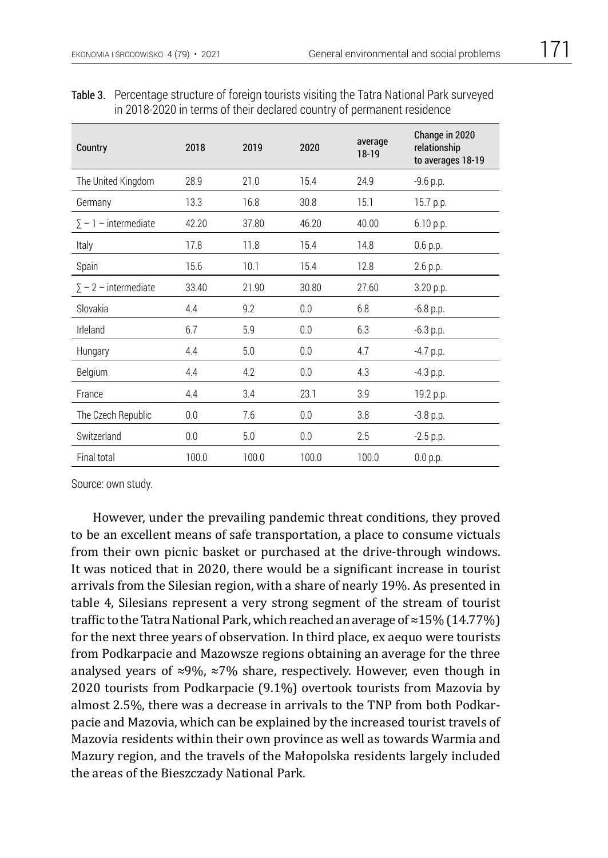| Country                     | 2018  | 2019  | 2020  | average<br>$18-19$ | Change in 2020<br>relationship<br>to averages 18-19 |
|-----------------------------|-------|-------|-------|--------------------|-----------------------------------------------------|
| The United Kingdom          | 28.9  | 21.0  | 15.4  | 24.9               | $-9.6 p.p.$                                         |
| Germany                     | 13.3  | 16.8  | 30.8  | 15.1               | 15.7 p.p.                                           |
| $\Sigma$ – 1 – intermediate | 42.20 | 37.80 | 46.20 | 40.00              | 6.10 p.p.                                           |
| Italy                       | 17.8  | 11.8  | 15.4  | 14.8               | $0.6$ p.p.                                          |
| Spain                       | 15.6  | 10.1  | 15.4  | 12.8               | 2.6 p.p.                                            |
| $\Sigma$ – 2 – intermediate | 33.40 | 21.90 | 30.80 | 27.60              | 3.20 p.p.                                           |
| Slovakia                    | 4.4   | 9.2   | 0.0   | 6.8                | $-6.8$ p.p.                                         |
| Irleland                    | 6.7   | 5.9   | 0.0   | 6.3                | $-6.3$ p.p.                                         |
| Hungary                     | 4.4   | 5.0   | 0.0   | 4.7                | $-4.7$ p.p.                                         |
| Belgium                     | 4.4   | 4.2   | 0.0   | 4.3                | $-4.3$ p.p.                                         |
| France                      | 4.4   | 3.4   | 23.1  | 3.9                | 19.2 p.p.                                           |
| The Czech Republic          | 0.0   | 7.6   | 0.0   | 3.8                | $-3.8$ p.p.                                         |
| Switzerland                 | 0.0   | 5.0   | 0.0   | 2.5                | $-2.5$ p.p.                                         |
| Final total                 | 100.0 | 100.0 | 100.0 | 100.0              | 0.0 p.p.                                            |

Table 3. Percentage structure of foreign tourists visiting the Tatra National Park surveyed in 2018-2020 in terms of their declared country of permanent residence

However, under the prevailing pandemic threat conditions, they proved to be an excellent means of safe transportation, a place to consume victuals from their own picnic basket or purchased at the drive-through windows. It was noticed that in 2020, there would be a significant increase in tourist arrivals from the Silesian region, with a share of nearly 19%. As presented in table 4, Silesians represent a very strong segment of the stream of tourist traffic to the Tatra National Park, which reached an average of ≈15% (14.77%) for the next three years of observation. In third place, ex aequo were tourists from Podkarpacie and Mazowsze regions obtaining an average for the three analysed years of ≈9%, ≈7% share, respectively. However, even though in 2020 tourists from Podkarpacie (9.1%) overtook tourists from Mazovia by almost 2.5%, there was a decrease in arrivals to the TNP from both Podkarpacie and Mazovia, which can be explained by the increased tourist travels of Mazovia residents within their own province as well as towards Warmia and Mazury region, and the travels of the Małopolska residents largely included the areas of the Bieszczady National Park.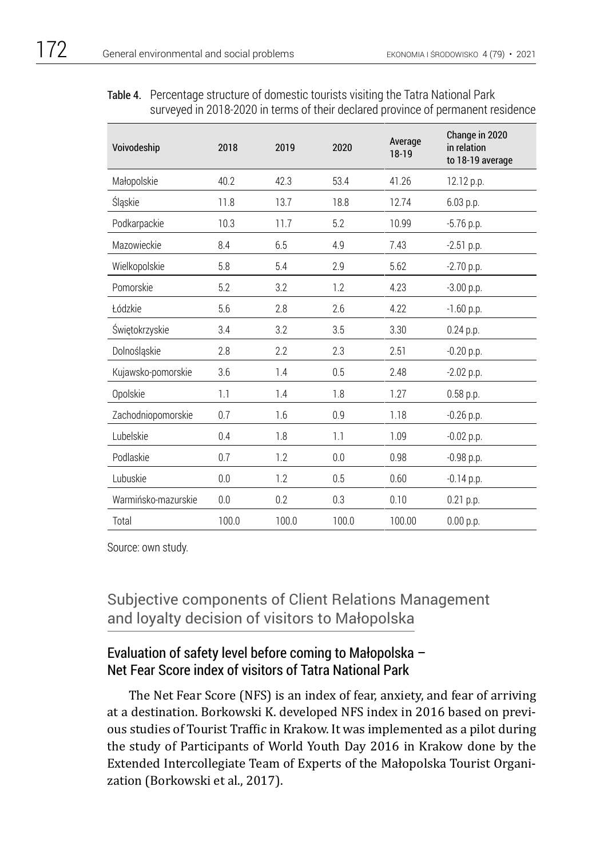#### Table 4. Percentage structure of domestic tourists visiting the Tatra National Park surveyed in 2018-2020 in terms of their declared province of permanent residence

| Voivodeship         | 2018  | 2019  | 2020  | Average<br>18-19 | Change in 2020<br>in relation<br>to 18-19 average |
|---------------------|-------|-------|-------|------------------|---------------------------------------------------|
| Małopolskie         | 40.2  | 42.3  | 53.4  | 41.26            | 12.12 p.p.                                        |
| Śląskie             | 11.8  | 13.7  | 18.8  | 12.74            | 6.03 p.p.                                         |
| Podkarpackie        | 10.3  | 11.7  | 5.2   | 10.99            | $-5.76$ p.p.                                      |
| Mazowieckie         | 8.4   | 6.5   | 4.9   | 7.43             | $-2.51$ p.p.                                      |
| Wielkopolskie       | 5.8   | 5.4   | 2.9   | 5.62             | $-2.70$ p.p.                                      |
| Pomorskie           | 5.2   | 3.2   | 1.2   | 4.23             | $-3.00$ p.p.                                      |
| Łódzkie             | 5.6   | 2.8   | 2.6   | 4.22             | $-1.60$ p.p.                                      |
| Świętokrzyskie      | 3.4   | 3.2   | 3.5   | 3.30             | 0.24 p.p.                                         |
| Dolnośląskie        | 2.8   | 2.2   | 2.3   | 2.51             | $-0.20$ p.p.                                      |
| Kujawsko-pomorskie  | 3.6   | 1.4   | 0.5   | 2.48             | $-2.02$ p.p.                                      |
| Opolskie            | 1.1   | 1.4   | 1.8   | 1.27             | $0.58$ p.p.                                       |
| Zachodniopomorskie  | 0.7   | 1.6   | 0.9   | 1.18             | $-0.26$ p.p.                                      |
| Lubelskie           | 0.4   | 1.8   | 1.1   | 1.09             | $-0.02$ p.p.                                      |
| Podlaskie           | 0.7   | 1.2   | 0.0   | 0.98             | $-0.98$ p.p.                                      |
| Lubuskie            | 0.0   | 1.2   | 0.5   | 0.60             | $-0.14$ p.p.                                      |
| Warmińsko-mazurskie | 0.0   | 0.2   | 0.3   | 0.10             | $0.21$ p.p.                                       |
| Total               | 100.0 | 100.0 | 100.0 | 100.00           | 0.00 p.p.                                         |

Source: own study.

## Subjective components of Client Relations Management and loyalty decision of visitors to Małopolska

## Evaluation of safety level before coming to Małopolska – Net Fear Score index of visitors of Tatra National Park

The Net Fear Score (NFS) is an index of fear, anxiety, and fear of arriving at a destination. Borkowski K. developed NFS index in 2016 based on previous studies of Tourist Traffic in Krakow. It was implemented as a pilot during the study of Participants of World Youth Day 2016 in Krakow done by the Extended Intercollegiate Team of Experts of the Małopolska Tourist Organization (Borkowski et al., 2017).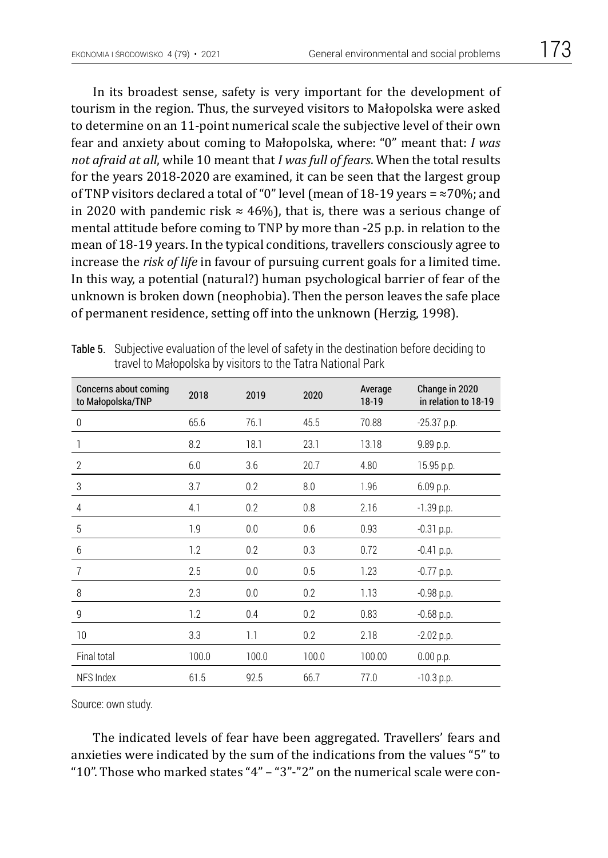In its broadest sense, safety is very important for the development of tourism in the region. Thus, the surveyed visitors to Małopolska were asked to determine on an 11-point numerical scale the subjective level of their own fear and anxiety about coming to Małopolska, where: "0" meant that: *I was not afraid at all*, while 10 meant that *I was full of fears*. When the total results for the years 2018-2020 are examined, it can be seen that the largest group of TNP visitors declared a total of "0" level (mean of 18-19 years =  $\approx$ 70%; and in 2020 with pandemic risk  $\approx$  46%), that is, there was a serious change of mental attitude before coming to TNP by more than -25 p.p. in relation to the mean of 18-19 years. In the typical conditions, travellers consciously agree to increase the *risk of life* in favour of pursuing current goals for a limited time. In this way, a potential (natural?) human psychological barrier of fear of the unknown is broken down (neophobia). Then the person leaves the safe place of permanent residence, setting off into the unknown (Herzig, 1998).

| Concerns about coming<br>to Małopolska/TNP | 2018  | 2019  | 2020  | Average<br>18-19 | Change in 2020<br>in relation to 18-19 |
|--------------------------------------------|-------|-------|-------|------------------|----------------------------------------|
| $\mathbf{0}$                               | 65.6  | 76.1  | 45.5  | 70.88            | $-25.37$ p.p.                          |
| 1                                          | 8.2   | 18.1  | 23.1  | 13.18            | 9.89 p.p.                              |
| $\overline{2}$                             | 6.0   | 3.6   | 20.7  | 4.80             | 15.95 p.p.                             |
| $\mathfrak{Z}$                             | 3.7   | 0.2   | 8.0   | 1.96             | 6.09 p.p.                              |
| 4                                          | 4.1   | 0.2   | 0.8   | 2.16             | $-1.39$ p.p.                           |
| 5                                          | 1.9   | 0.0   | 0.6   | 0.93             | $-0.31$ p.p.                           |
| 6                                          | 1.2   | 0.2   | 0.3   | 0.72             | $-0.41$ p.p.                           |
| $\overline{7}$                             | 2.5   | 0.0   | 0.5   | 1.23             | $-0.77$ p.p.                           |
| 8                                          | 2.3   | 0.0   | 0.2   | 1.13             | $-0.98$ p.p.                           |
| 9                                          | 1.2   | 0.4   | 0.2   | 0.83             | $-0.68$ p.p.                           |
| 10                                         | 3.3   | 1.1   | 0.2   | 2.18             | $-2.02$ p.p.                           |
| Final total                                | 100.0 | 100.0 | 100.0 | 100.00           | 0.00 p.p.                              |
| NFS Index                                  | 61.5  | 92.5  | 66.7  | 77.0             | $-10.3$ p.p.                           |

Table 5. Subjective evaluation of the level of safety in the destination before deciding to travel to Małopolska by visitors to the Tatra National Park

Source: own study.

The indicated levels of fear have been aggregated. Travellers' fears and anxieties were indicated by the sum of the indications from the values "5" to "10". Those who marked states "4" – "3"-"2" on the numerical scale were con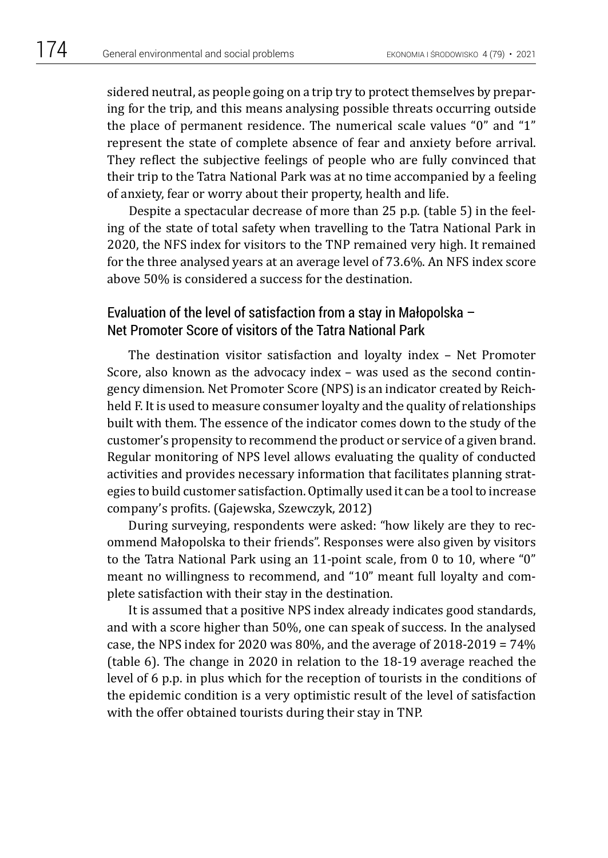sidered neutral, as people going on a trip try to protect themselves by preparing for the trip, and this means analysing possible threats occurring outside the place of permanent residence. The numerical scale values "0" and "1" represent the state of complete absence of fear and anxiety before arrival. They reflect the subjective feelings of people who are fully convinced that their trip to the Tatra National Park was at no time accompanied by a feeling of anxiety, fear or worry about their property, health and life.

Despite a spectacular decrease of more than 25 p.p. (table 5) in the feeling of the state of total safety when travelling to the Tatra National Park in 2020, the NFS index for visitors to the TNP remained very high. It remained for the three analysed years at an average level of 73.6%. An NFS index score above 50% is considered a success for the destination.

### Evaluation of the level of satisfaction from a stay in Małopolska – Net Promoter Score of visitors of the Tatra National Park

The destination visitor satisfaction and loyalty index – Net Promoter Score, also known as the advocacy index – was used as the second contingency dimension. Net Promoter Score (NPS) is an indicator created by Reichheld F. It is used to measure consumer loyalty and the quality of relationships built with them. The essence of the indicator comes down to the study of the customer's propensity to recommend the product or service of a given brand. Regular monitoring of NPS level allows evaluating the quality of conducted activities and provides necessary information that facilitates planning strategies to build customer satisfaction. Optimally used it can be a tool to increase company's profits. (Gajewska, Szewczyk, 2012)

During surveying, respondents were asked: "how likely are they to recommend Małopolska to their friends". Responses were also given by visitors to the Tatra National Park using an 11-point scale, from 0 to 10, where "0" meant no willingness to recommend, and "10" meant full loyalty and complete satisfaction with their stay in the destination.

It is assumed that a positive NPS index already indicates good standards, and with a score higher than 50%, one can speak of success. In the analysed case, the NPS index for 2020 was  $80\%$ , and the average of  $2018-2019 = 74\%$ (table 6). The change in 2020 in relation to the 18-19 average reached the level of 6 p.p. in plus which for the reception of tourists in the conditions of the epidemic condition is a very optimistic result of the level of satisfaction with the offer obtained tourists during their stay in TNP.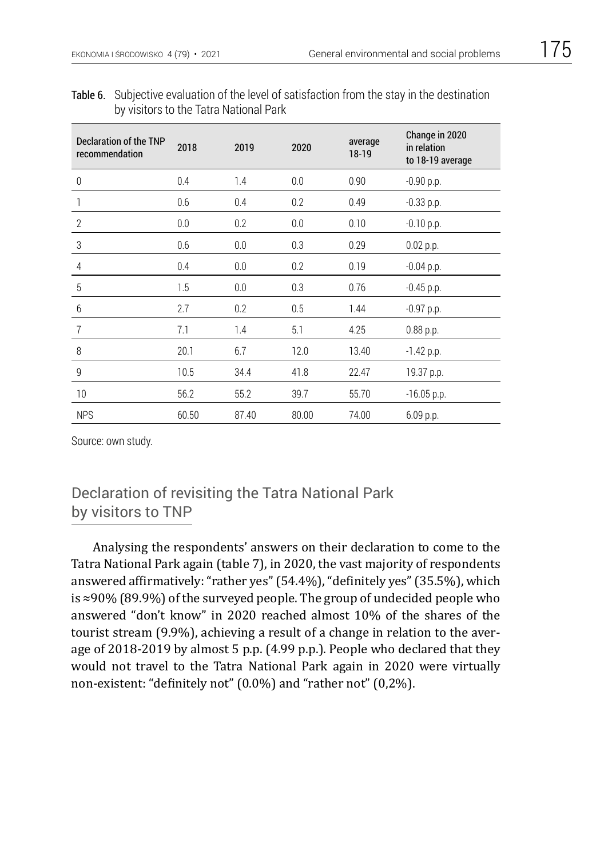| ×<br>۰. |  |
|---------|--|
|---------|--|

| Declaration of the TNP<br>recommendation | 2018  | 2019  | 2020  | average<br>18-19 | Change in 2020<br>in relation<br>to 18-19 average |
|------------------------------------------|-------|-------|-------|------------------|---------------------------------------------------|
| 0                                        | 0.4   | 1.4   | 0.0   | 0.90             | $-0.90$ p.p.                                      |
| 1                                        | 0.6   | 0.4   | 0.2   | 0.49             | $-0.33$ p.p.                                      |
| $\overline{2}$                           | 0.0   | 0.2   | 0.0   | 0.10             | $-0.10$ p.p.                                      |
| 3                                        | 0.6   | 0.0   | 0.3   | 0.29             | 0.02 p.p.                                         |
| $\overline{4}$                           | 0.4   | 0.0   | 0.2   | 0.19             | $-0.04$ p.p.                                      |
| $\overline{5}$                           | 1.5   | 0.0   | 0.3   | 0.76             | $-0.45$ p.p.                                      |
| 6                                        | 2.7   | 0.2   | 0.5   | 1.44             | $-0.97$ p.p.                                      |
| $\overline{7}$                           | 7.1   | 1.4   | 5.1   | 4.25             | 0.88 p.p.                                         |
| 8                                        | 20.1  | 6.7   | 12.0  | 13.40            | $-1.42$ p.p.                                      |
| $\overline{9}$                           | 10.5  | 34.4  | 41.8  | 22.47            | 19.37 p.p.                                        |
| 10                                       | 56.2  | 55.2  | 39.7  | 55.70            | $-16.05$ p.p.                                     |
| <b>NPS</b>                               | 60.50 | 87.40 | 80.00 | 74.00            | 6.09 p.p.                                         |

Table 6. Subjective evaluation of the level of satisfaction from the stay in the destination by visitors to the Tatra National Park

## Declaration of revisiting the Tatra National Park by visitors to TNP

Analysing the respondents' answers on their declaration to come to the Tatra National Park again (table 7), in 2020, the vast majority of respondents answered affirmatively: "rather yes" (54.4%), "definitely yes" (35.5%), which is ≈90% (89.9%) of the surveyed people. The group of undecided people who answered "don't know" in 2020 reached almost 10% of the shares of the tourist stream (9.9%), achieving a result of a change in relation to the average of 2018-2019 by almost 5 p.p. (4.99 p.p.). People who declared that they would not travel to the Tatra National Park again in 2020 were virtually non-existent: "definitely not" (0.0%) and "rather not" (0,2%).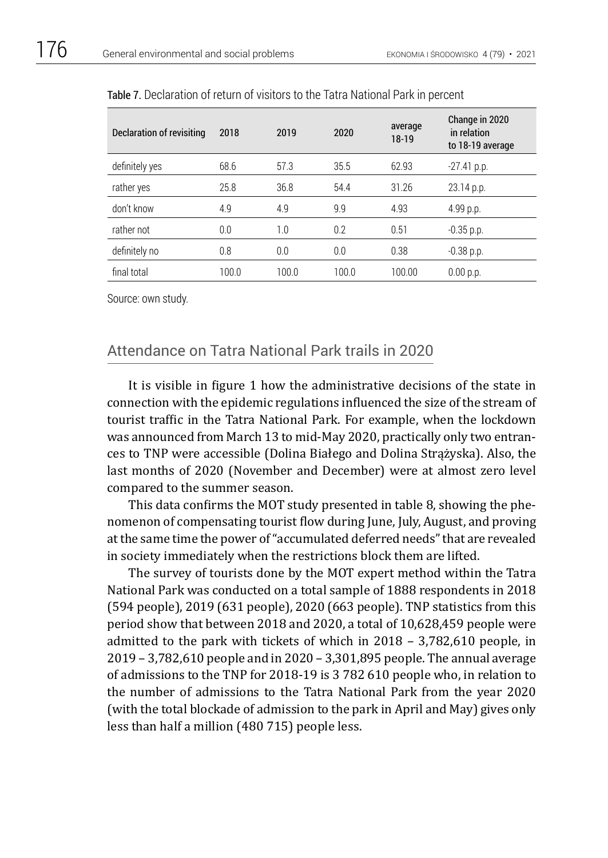| Declaration of revisiting | 2018  | 2019  | 2020  | average<br>$18-19$ | Change in 2020<br>in relation<br>to 18-19 average |
|---------------------------|-------|-------|-------|--------------------|---------------------------------------------------|
| definitely yes            | 68.6  | 57.3  | 35.5  | 62.93              | $-27.41$ p.p.                                     |
| rather yes                | 25.8  | 36.8  | 54.4  | 31.26              | $23.14$ p.p.                                      |
| don't know                | 4.9   | 4.9   | 9.9   | 4.93               | 4.99 p.p.                                         |
| rather not                | 0.0   | 1.0   | 0.2   | 0.51               | $-0.35$ p.p.                                      |
| definitely no             | 0.8   | 0.0   | 0.0   | 0.38               | $-0.38$ p.p.                                      |
| final total               | 100.0 | 100.0 | 100.0 | 100.00             | 0.00 p.p.                                         |

Table 7. Declaration of return of visitors to the Tatra National Park in percent

### Attendance on Tatra National Park trails in 2020

It is visible in figure 1 how the administrative decisions of the state in connection with the epidemic regulations influenced the size of the stream of tourist traffic in the Tatra National Park. For example, when the lockdown was announced from March 13 to mid-May 2020, practically only two entrances to TNP were accessible (Dolina Białego and Dolina Strążyska). Also, the last months of 2020 (November and December) were at almost zero level compared to the summer season.

This data confirms the MOT study presented in table 8, showing the phenomenon of compensating tourist flow during June, July, August, and proving at the same time the power of "accumulated deferred needs" that are revealed in society immediately when the restrictions block them are lifted.

The survey of tourists done by the MOT expert method within the Tatra National Park was conducted on a total sample of 1888 respondents in 2018 (594 people), 2019 (631 people), 2020 (663 people). TNP statistics from this period show that between 2018 and 2020, a total of 10,628,459 people were admitted to the park with tickets of which in 2018 – 3,782,610 people, in 2019 – 3,782,610 people and in 2020 – 3,301,895 people. The annual average of admissions to the TNP for 2018-19 is 3 782 610 people who, in relation to the number of admissions to the Tatra National Park from the year 2020 (with the total blockade of admission to the park in April and May) gives only less than half a million (480 715) people less.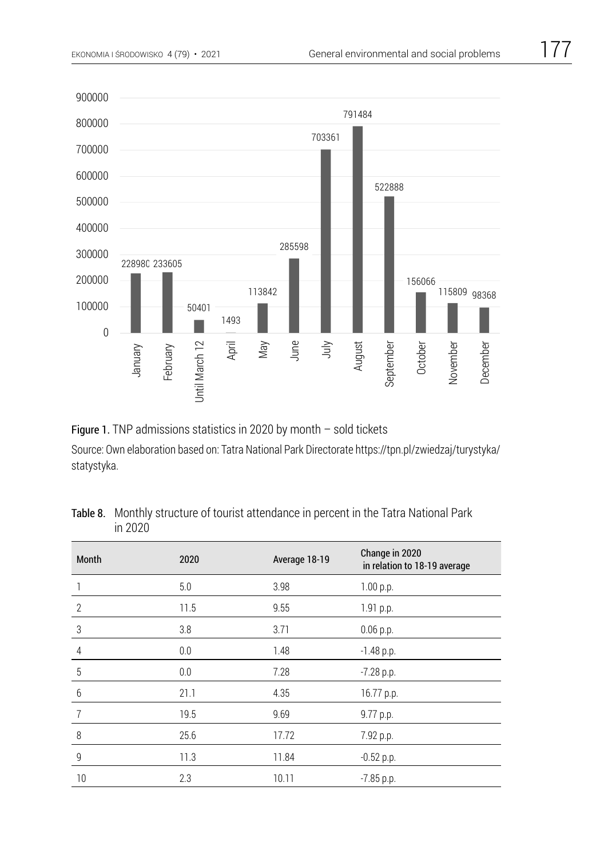

Figure 1. TNP admissions statistics in 2020 by month – sold tickets Source: Own elaboration based on: Tatra National Park Directorate https://tpn.pl/zwiedzaj/turystyka/ Figure 1. TNP admissions statistics in 2020 by month – sold tickets statystyka.

| Month          | 2020 | Average 18-19 | Change in 2020<br>in relation to 18-19 average |
|----------------|------|---------------|------------------------------------------------|
|                | 5.0  | 3.98          | 1.00 p.p.                                      |
| $\overline{2}$ | 11.5 | 9.55          | 1.91 p.p.                                      |
| 3              | 3.8  | 3.71          | $0.06$ p.p.                                    |
| $\overline{4}$ | 0.0  | 1.48          | $-1.48$ p.p.                                   |
| $\overline{5}$ | 0.0  | 7.28          | $-7.28$ p.p.                                   |
| $6\,$          | 21.1 | 4.35          | 16.77 p.p.                                     |
| $\overline{7}$ | 19.5 | 9.69          | 9.77 p.p.                                      |
| 8              | 25.6 | 17.72         | 7.92 p.p.                                      |
| $\overline{9}$ | 11.3 | 11.84         | $-0.52$ p.p.                                   |
| 10             | 2.3  | 10.11         | $-7.85$ p.p.                                   |

| Table 8. Monthly structure of tourist attendance in percent in the Tatra National Park |
|----------------------------------------------------------------------------------------|
| in 2020                                                                                |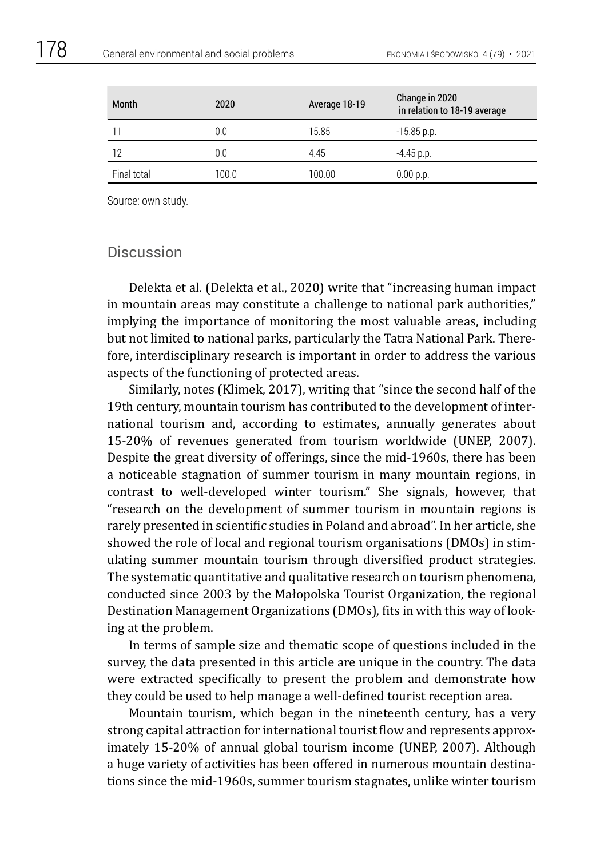| Month       | 2020  | Average 18-19 | Change in 2020<br>in relation to 18-19 average |
|-------------|-------|---------------|------------------------------------------------|
| 11          | 0.0   | 15.85         | $-15.85$ p.p.                                  |
| 12          | 0.0   | 4.45          | $-4.45$ p.p.                                   |
| Final total | 100.0 | 100.00        | 0.00 p.p.                                      |

#### **Discussion**

Delekta et al. (Delekta et al., 2020) write that "increasing human impact in mountain areas may constitute a challenge to national park authorities," implying the importance of monitoring the most valuable areas, including but not limited to national parks, particularly the Tatra National Park. Therefore, interdisciplinary research is important in order to address the various aspects of the functioning of protected areas.

Similarly, notes (Klimek, 2017), writing that "since the second half of the 19th century, mountain tourism has contributed to the development of international tourism and, according to estimates, annually generates about 15-20% of revenues generated from tourism worldwide (UNEP, 2007). Despite the great diversity of offerings, since the mid-1960s, there has been a noticeable stagnation of summer tourism in many mountain regions, in contrast to well-developed winter tourism." She signals, however, that "research on the development of summer tourism in mountain regions is rarely presented in scientific studies in Poland and abroad". In her article, she showed the role of local and regional tourism organisations (DMOs) in stimulating summer mountain tourism through diversified product strategies. The systematic quantitative and qualitative research on tourism phenomena, conducted since 2003 by the Małopolska Tourist Organization, the regional Destination Management Organizations (DMOs), fits in with this way of looking at the problem.

In terms of sample size and thematic scope of questions included in the survey, the data presented in this article are unique in the country. The data were extracted specifically to present the problem and demonstrate how they could be used to help manage a well-defined tourist reception area.

Mountain tourism, which began in the nineteenth century, has a very strong capital attraction for international tourist flow and represents approximately 15-20% of annual global tourism income (UNEP, 2007). Although a huge variety of activities has been offered in numerous mountain destinations since the mid-1960s, summer tourism stagnates, unlike winter tourism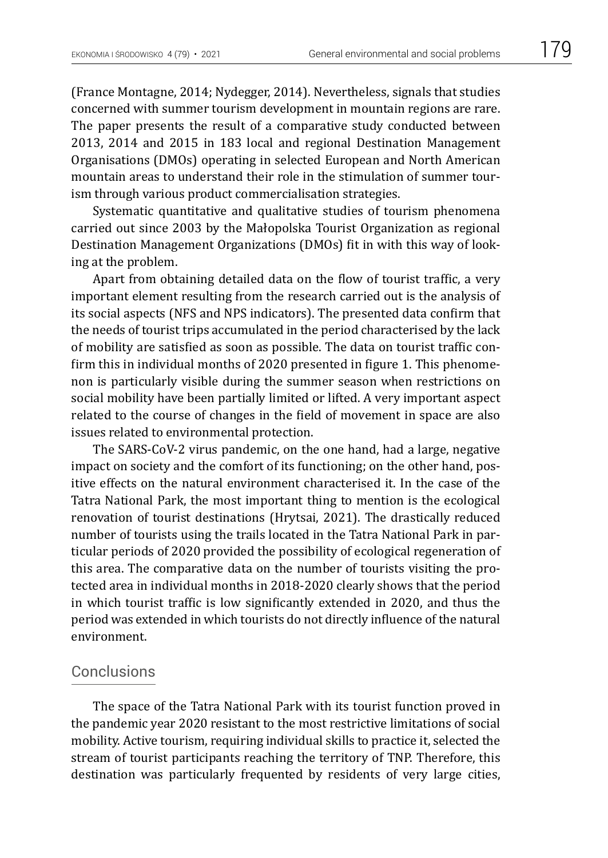(France Montagne, 2014; Nydegger, 2014). Nevertheless, signals that studies concerned with summer tourism development in mountain regions are rare. The paper presents the result of a comparative study conducted between 2013, 2014 and 2015 in 183 local and regional Destination Management Organisations (DMOs) operating in selected European and North American mountain areas to understand their role in the stimulation of summer tourism through various product commercialisation strategies.

Systematic quantitative and qualitative studies of tourism phenomena carried out since 2003 by the Małopolska Tourist Organization as regional Destination Management Organizations (DMOs) fit in with this way of looking at the problem.

Apart from obtaining detailed data on the flow of tourist traffic, a very important element resulting from the research carried out is the analysis of its social aspects (NFS and NPS indicators). The presented data confirm that the needs of tourist trips accumulated in the period characterised by the lack of mobility are satisfied as soon as possible. The data on tourist traffic confirm this in individual months of 2020 presented in figure 1. This phenomenon is particularly visible during the summer season when restrictions on social mobility have been partially limited or lifted. A very important aspect related to the course of changes in the field of movement in space are also issues related to environmental protection.

The SARS-CoV-2 virus pandemic, on the one hand, had a large, negative impact on society and the comfort of its functioning; on the other hand, positive effects on the natural environment characterised it. In the case of the Tatra National Park, the most important thing to mention is the ecological renovation of tourist destinations (Hrytsai, 2021). The drastically reduced number of tourists using the trails located in the Tatra National Park in particular periods of 2020 provided the possibility of ecological regeneration of this area. The comparative data on the number of tourists visiting the protected area in individual months in 2018-2020 clearly shows that the period in which tourist traffic is low significantly extended in 2020, and thus the period was extended in which tourists do not directly influence of the natural environment.

#### Conclusions

The space of the Tatra National Park with its tourist function proved in the pandemic year 2020 resistant to the most restrictive limitations of social mobility. Active tourism, requiring individual skills to practice it, selected the stream of tourist participants reaching the territory of TNP. Therefore, this destination was particularly frequented by residents of very large cities,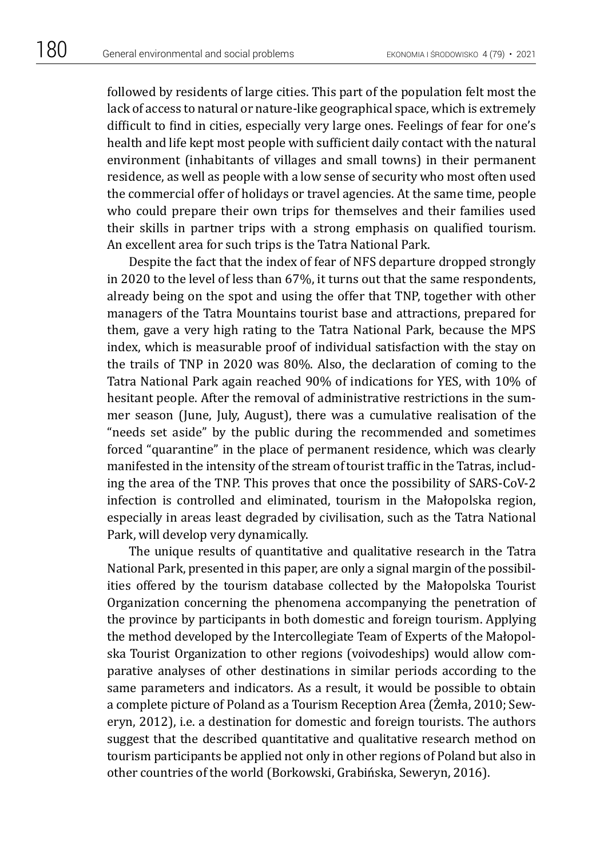followed by residents of large cities. This part of the population felt most the lack of access to natural or nature-like geographical space, which is extremely difficult to find in cities, especially very large ones. Feelings of fear for one's health and life kept most people with sufficient daily contact with the natural environment (inhabitants of villages and small towns) in their permanent residence, as well as people with a low sense of security who most often used the commercial offer of holidays or travel agencies. At the same time, people who could prepare their own trips for themselves and their families used their skills in partner trips with a strong emphasis on qualified tourism. An excellent area for such trips is the Tatra National Park.

Despite the fact that the index of fear of NFS departure dropped strongly in 2020 to the level of less than 67%, it turns out that the same respondents, already being on the spot and using the offer that TNP, together with other managers of the Tatra Mountains tourist base and attractions, prepared for them, gave a very high rating to the Tatra National Park, because the MPS index, which is measurable proof of individual satisfaction with the stay on the trails of TNP in 2020 was 80%. Also, the declaration of coming to the Tatra National Park again reached 90% of indications for YES, with 10% of hesitant people. After the removal of administrative restrictions in the summer season (June, July, August), there was a cumulative realisation of the "needs set aside" by the public during the recommended and sometimes forced "quarantine" in the place of permanent residence, which was clearly manifested in the intensity of the stream of tourist traffic in the Tatras, including the area of the TNP. This proves that once the possibility of SARS-CoV-2 infection is controlled and eliminated, tourism in the Małopolska region, especially in areas least degraded by civilisation, such as the Tatra National Park, will develop very dynamically.

The unique results of quantitative and qualitative research in the Tatra National Park, presented in this paper, are only a signal margin of the possibilities offered by the tourism database collected by the Małopolska Tourist Organization concerning the phenomena accompanying the penetration of the province by participants in both domestic and foreign tourism. Applying the method developed by the Intercollegiate Team of Experts of the Małopolska Tourist Organization to other regions (voivodeships) would allow comparative analyses of other destinations in similar periods according to the same parameters and indicators. As a result, it would be possible to obtain a complete picture of Poland as a Tourism Reception Area (Żemła, 2010; Seweryn, 2012), i.e. a destination for domestic and foreign tourists. The authors suggest that the described quantitative and qualitative research method on tourism participants be applied not only in other regions of Poland but also in other countries of the world (Borkowski, Grabińska, Seweryn, 2016).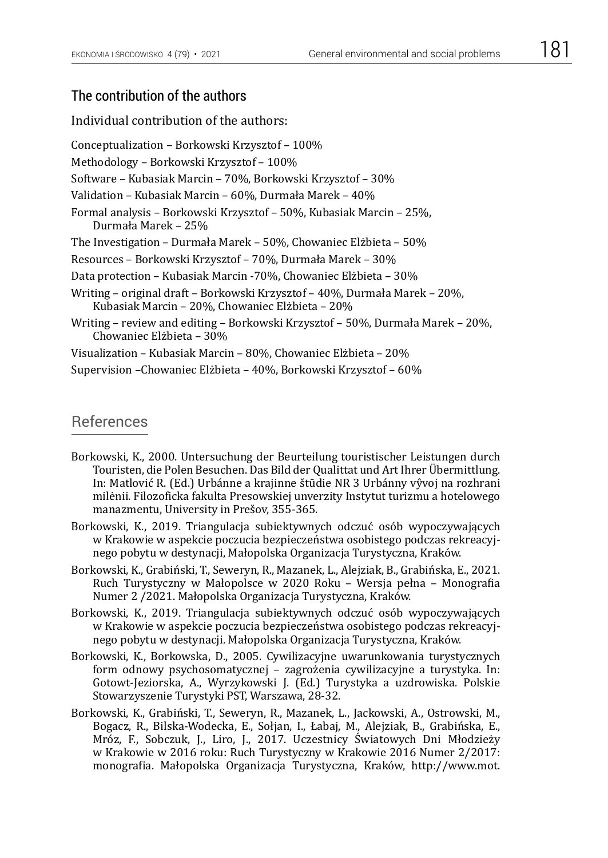#### The contribution of the authors

Individual contribution of the authors:

Conceptualization – Borkowski Krzysztof – 100% Methodology – Borkowski Krzysztof – 100% Software – Kubasiak Marcin – 70%, Borkowski Krzysztof – 30% Validation – Kubasiak Marcin – 60%, Durmała Marek – 40% Formal analysis – Borkowski Krzysztof – 50%, Kubasiak Marcin – 25%, Durmała Marek – 25% The Investigation – Durmała Marek – 50%, Chowaniec Elżbieta – 50% Resources – Borkowski Krzysztof – 70%, Durmała Marek – 30% Data protection – Kubasiak Marcin -70%, Chowaniec Elżbieta – 30% Writing – original draft – Borkowski Krzysztof – 40%, Durmała Marek – 20%, Kubasiak Marcin – 20%, Chowaniec Elżbieta – 20% Writing – review and editing – Borkowski Krzysztof – 50%, Durmała Marek – 20%, Chowaniec Elżbieta – 30% Visualization – Kubasiak Marcin – 80%, Chowaniec Elżbieta – 20%

Supervision –Chowaniec Elżbieta – 40%, Borkowski Krzysztof – 60%

#### References

- Borkowski, K., 2000. Untersuchung der Beurteilung touristischer Leistungen durch Touristen, die Polen Besuchen. Das Bild der Qualittat und Art Ihrer Übermittlung. In: Matlović R. (Ed.) Urbánne a krajinne štūdie NR 3 Urbánny vŷvoj na rozhrani milėnii. Filozoficka fakulta Presowskiej unverzity Instytut turizmu a hotelowego manazmentu, University in Prešov, 355-365.
- Borkowski, K., 2019. Triangulacja subiektywnych odczuć osób wypoczywających w Krakowie w aspekcie poczucia bezpieczeństwa osobistego podczas rekreacyjnego pobytu w destynacji, Małopolska Organizacja Turystyczna, Kraków.
- Borkowski, K., Grabiński, T., Seweryn, R., Mazanek, L., Alejziak, B., Grabińska, E., 2021. Ruch Turystyczny w Małopolsce w 2020 Roku – Wersja pełna – Monografia Numer 2 /2021. Małopolska Organizacja Turystyczna, Kraków.
- Borkowski, K., 2019. Triangulacja subiektywnych odczuć osób wypoczywających w Krakowie w aspekcie poczucia bezpieczeństwa osobistego podczas rekreacyjnego pobytu w destynacji. Małopolska Organizacja Turystyczna, Kraków.
- Borkowski, K., Borkowska, D., 2005. Cywilizacyjne uwarunkowania turystycznych form odnowy psychosomatycznej – zagrożenia cywilizacyjne a turystyka. In: Gotowt-Jeziorska, A., Wyrzykowski J. (Ed.) Turystyka a uzdrowiska. Polskie Stowarzyszenie Turystyki PST, Warszawa, 28-32.
- Borkowski, K., Grabiński, T., Seweryn, R., Mazanek, L., Jackowski, A., Ostrowski, M., Bogacz, R., Bilska-Wodecka, E., Sołjan, I., Łabaj, M., Alejziak, B., Grabińska, E., Mróz, F., Sobczuk, J., Liro, J., 2017. Uczestnicy Światowych Dni Młodzieży w Krakowie w 2016 roku: Ruch Turystyczny w Krakowie 2016 Numer 2/2017: monografia. Małopolska Organizacja Turystyczna, Kraków, http://www.mot.